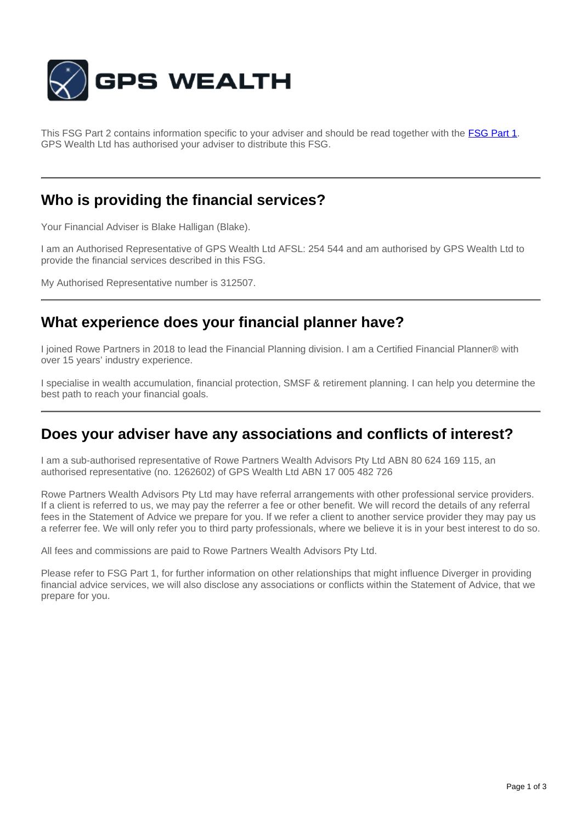

This FSG Part 2 contains information specific to your adviser and should be read together with the **[FSG Part 1](http://www.gpswealth.net.au/gps-test/site/GPS-FSG.pdf)**. GPS Wealth Ltd has authorised your adviser to distribute this FSG.

## **Who is providing the financial services?**

Your Financial Adviser is Blake Halligan (Blake).

I am an Authorised Representative of GPS Wealth Ltd AFSL: 254 544 and am authorised by GPS Wealth Ltd to provide the financial services described in this FSG.

My Authorised Representative number is 312507.

## **What experience does your financial planner have?**

I joined Rowe Partners in 2018 to lead the Financial Planning division. I am a Certified Financial Planner® with over 15 years' industry experience.

I specialise in wealth accumulation, financial protection, SMSF & retirement planning. I can help you determine the best path to reach your financial goals.

### **Does your adviser have any associations and conflicts of interest?**

I am a sub-authorised representative of Rowe Partners Wealth Advisors Pty Ltd ABN 80 624 169 115, an authorised representative (no. 1262602) of GPS Wealth Ltd ABN 17 005 482 726

Rowe Partners Wealth Advisors Pty Ltd may have referral arrangements with other professional service providers. If a client is referred to us, we may pay the referrer a fee or other benefit. We will record the details of any referral fees in the Statement of Advice we prepare for you. If we refer a client to another service provider they may pay us a referrer fee. We will only refer you to third party professionals, where we believe it is in your best interest to do so.

All fees and commissions are paid to Rowe Partners Wealth Advisors Pty Ltd.

Please refer to FSG Part 1, for further information on other relationships that might influence Diverger in providing financial advice services, we will also disclose any associations or conflicts within the Statement of Advice, that we prepare for you.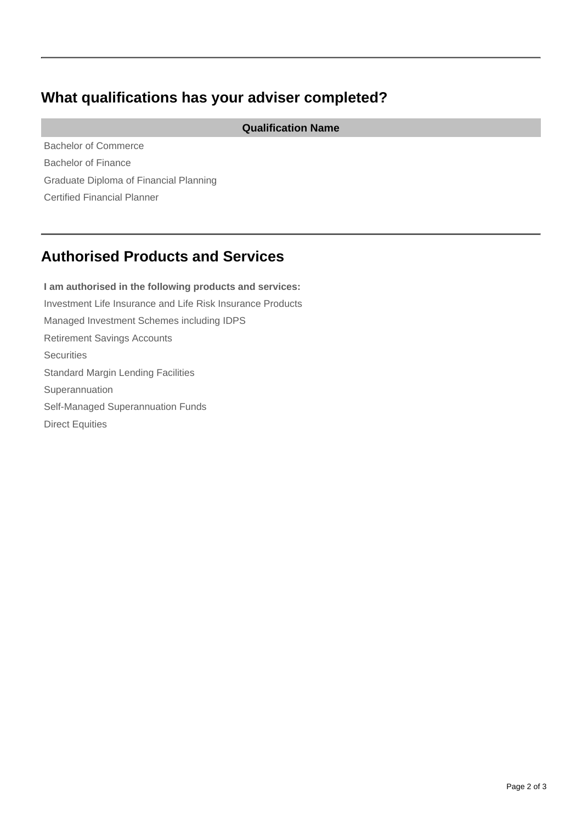## **What qualifications has your adviser completed?**

**Qualification Name**

Bachelor of Commerce Bachelor of Finance Graduate Diploma of Financial Planning Certified Financial Planner

# **Authorised Products and Services**

**I am authorised in the following products and services:** Investment Life Insurance and Life Risk Insurance Products Managed Investment Schemes including IDPS Retirement Savings Accounts **Securities** Standard Margin Lending Facilities Superannuation Self-Managed Superannuation Funds Direct Equities